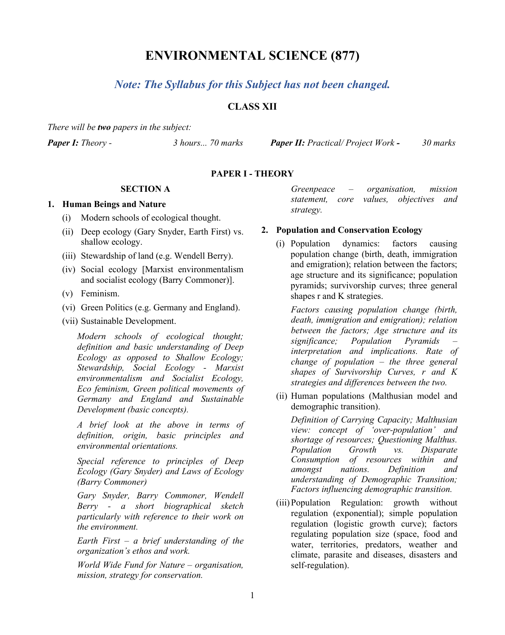# **ENVIRONMENTAL SCIENCE (877)**

# *Note: The Syllabus for this Subject has not been changed.*

# **CLASS XII**

*There will be two papers in the subject:*

*Paper I: Theory - 3 hours... 70 marks Paper II: Practical/ Project Work - 30 marks*

## **PAPER I - THEORY**

## **SECTION A**

#### **1. Human Beings and Nature**

- (i) Modern schools of ecological thought.
- (ii) Deep ecology (Gary Snyder, Earth First) vs. shallow ecology.
- (iii) Stewardship of land (e.g. Wendell Berry).
- (iv) Social ecology [Marxist environmentalism and socialist ecology (Barry Commoner)].
- (v) Feminism.
- (vi) Green Politics (e.g. Germany and England).
- (vii) Sustainable Development.

*Modern schools of ecological thought; definition and basic understanding of Deep Ecology as opposed to Shallow Ecology; Stewardship, Social Ecology - Marxist environmentalism and Socialist Ecology, Eco feminism, Green political movements of Germany and England and Sustainable Development (basic concepts).*

*A brief look at the above in terms of definition, origin, basic principles and environmental orientations.*

*Special reference to principles of Deep Ecology (Gary Snyder) and Laws of Ecology (Barry Commoner)*

*Gary Snyder, Barry Commoner, Wendell Berry - a short biographical sketch particularly with reference to their work on the environment.*

*Earth First – a brief understanding of the organization's ethos and work.*

*World Wide Fund for Nature – organisation, mission, strategy for conservation.*

*Greenpeace – organisation, mission statement, core values, objectives and strategy.*

#### **2. Population and Conservation Ecology**

(i) Population dynamics: factors causing population change (birth, death, immigration and emigration); relation between the factors; age structure and its significance; population pyramids; survivorship curves; three general shapes r and K strategies.

*Factors causing population change (birth, death, immigration and emigration); relation between the factors; Age structure and its significance; Population Pyramids – interpretation and implications. Rate of change of population – the three general shapes of Survivorship Curves, r and K strategies and differences between the two.* 

(ii) Human populations (Malthusian model and demographic transition).

*Definition of Carrying Capacity; Malthusian view: concept of 'over-population' and shortage of resources; Questioning Malthus. Population Growth vs. Disparate Consumption of resources within and amongst nations. Definition and understanding of Demographic Transition; Factors influencing demographic transition.*

(iii)Population Regulation: growth without regulation (exponential); simple population regulation (logistic growth curve); factors regulating population size (space, food and water, territories, predators, weather and climate, parasite and diseases, disasters and self-regulation).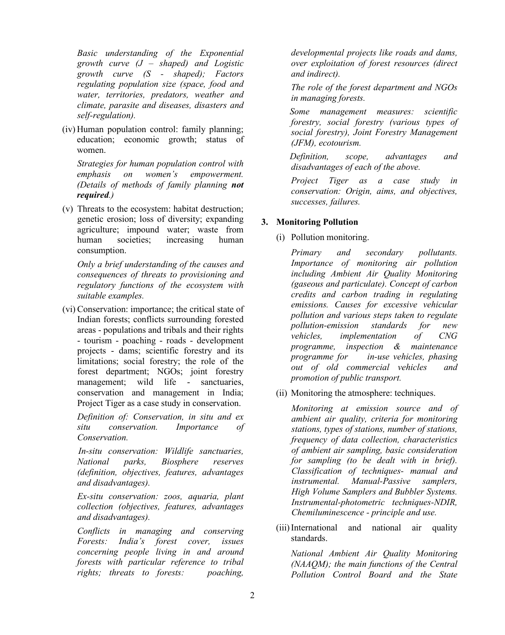*Basic understanding of the Exponential growth curve (J – shaped) and Logistic growth curve (S - shaped); Factors regulating population size (space, food and water, territories, predators, weather and climate, parasite and diseases, disasters and self-regulation).* 

(iv) Human population control: family planning; education; economic growth; status of women.

*Strategies for human population control with emphasis on women's empowerment. (Details of methods of family planning not required.)* 

(v) Threats to the ecosystem: habitat destruction; genetic erosion; loss of diversity; expanding agriculture; impound water; waste from human societies; increasing human consumption.

*Only a brief understanding of the causes and consequences of threats to provisioning and regulatory functions of the ecosystem with suitable examples.*

(vi) Conservation: importance; the critical state of Indian forests; conflicts surrounding forested areas - populations and tribals and their rights - tourism - poaching - roads - development projects - dams; scientific forestry and its limitations; social forestry; the role of the forest department; NGOs; joint forestry management; wild life - sanctuaries, conservation and management in India; Project Tiger as a case study in conservation.

*Definition of: Conservation, in situ and ex situ conservation. Importance of Conservation.*

 *In-situ conservation: Wildlife sanctuaries, National parks, Biosphere reserves (definition, objectives, features, advantages and disadvantages).*

*Ex-situ conservation: zoos, aquaria, plant collection (objectives, features, advantages and disadvantages).*

*Conflicts in managing and conserving Forests: India's forest cover, issues concerning people living in and around forests with particular reference to tribal rights; threats to forests: poaching,* 

*developmental projects like roads and dams, over exploitation of forest resources (direct and indirect).*

*The role of the forest department and NGOs in managing forests.*

 *Some management measures: scientific forestry, social forestry (various types of social forestry), Joint Forestry Management (JFM), ecotourism.* 

 *Definition, scope, advantages and disadvantages of each of the above.*

*Project Tiger as a case study in conservation: Origin, aims, and objectives, successes, failures.* 

## **3. Monitoring Pollution**

(i) Pollution monitoring.

*Primary and secondary pollutants. Importance of monitoring air pollution including Ambient Air Quality Monitoring (gaseous and particulate). Concept of carbon credits and carbon trading in regulating emissions. Causes for excessive vehicular pollution and various steps taken to regulate pollution-emission standards for new vehicles, implementation of CNG programme, inspection & maintenance programme for in-use vehicles, phasing out of old commercial vehicles and promotion of public transport.*

(ii) Monitoring the atmosphere: techniques.

*Monitoring at emission source and of ambient air quality, criteria for monitoring stations, types of stations, number of stations, frequency of data collection, characteristics of ambient air sampling, basic consideration for sampling (to be dealt with in brief). Classification of techniques- manual and instrumental. Manual-Passive samplers, High Volume Samplers and Bubbler Systems. Instrumental-photometric techniques-NDIR, Chemiluminescence - principle and use.* 

(iii)International and national air quality standards.

*National Ambient Air Quality Monitoring (NAAQM); the main functions of the Central Pollution Control Board and the State*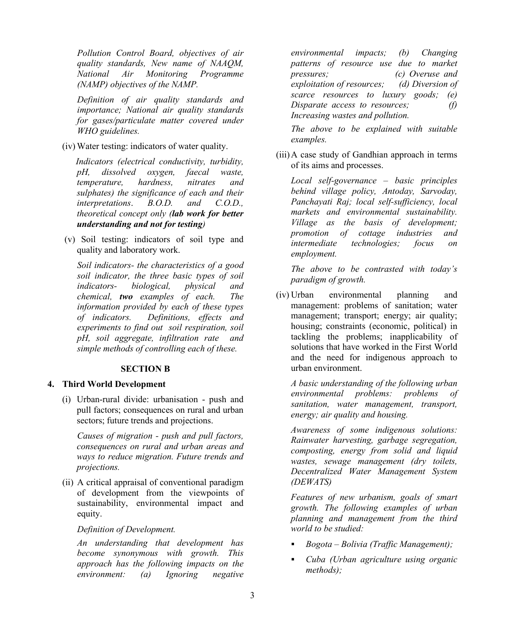*Pollution Control Board, objectives of air quality standards, New name of NAAQM, National Air Monitoring Programme (NAMP) objectives of the NAMP.*

*Definition of air quality standards and importance; National air quality standards for gases/particulate matter covered under WHO guidelines.*

(iv) Water testing: indicators of water quality.

 *Indicators (electrical conductivity, turbidity, pH, dissolved oxygen, faecal waste, temperature, hardness, nitrates and sulphates) the significance of each and their interpretations*. *B.O.D. and C.O.D., theoretical concept only (lab work for better understanding and not for testing)* 

(v) Soil testing: indicators of soil type and quality and laboratory work.

*Soil indicators- the characteristics of a good soil indicator, the three basic types of soil indicators- biological, physical and chemical, two examples of each. The information provided by each of these types of indicators. Definitions, effects and experiments to find out soil respiration, soil pH, soil aggregate, infiltration rate and simple methods of controlling each of these.*

## **SECTION B**

## **4. Third World Development**

(i) Urban-rural divide: urbanisation - push and pull factors; consequences on rural and urban sectors; future trends and projections.

*Causes of migration - push and pull factors, consequences on rural and urban areas and ways to reduce migration. Future trends and projections.*

(ii) A critical appraisal of conventional paradigm of development from the viewpoints of sustainability, environmental impact and equity.

#### *Definition of Development.*

*An understanding that development has become synonymous with growth. This approach has the following impacts on the environment: (a) Ignoring negative* 

*environmental impacts; (b) Changing patterns of resource use due to market pressures; (c) Overuse and exploitation of resources; (d) Diversion of scarce resources to luxury goods; (e) Disparate access to resources; (f) Increasing wastes and pollution.* 

*The above to be explained with suitable examples.*

(iii)A case study of Gandhian approach in terms of its aims and processes.

*Local self-governance – basic principles behind village policy, Antoday, Sarvoday, Panchayati Raj; local self-sufficiency, local markets and environmental sustainability. Village as the basis of development; promotion of cottage industries and intermediate technologies; focus on employment.*

*The above to be contrasted with today's paradigm of growth.*

(iv) Urban environmental planning and management: problems of sanitation; water management; transport; energy; air quality; housing; constraints (economic, political) in tackling the problems; inapplicability of solutions that have worked in the First World and the need for indigenous approach to urban environment.

*A basic understanding of the following urban environmental problems: problems of sanitation, water management, transport, energy; air quality and housing.*

*Awareness of some indigenous solutions: Rainwater harvesting, garbage segregation, composting, energy from solid and liquid wastes, sewage management (dry toilets, Decentralized Water Management System (DEWATS)*

*Features of new urbanism, goals of smart growth. The following examples of urban planning and management from the third world to be studied:*

- *Bogota – Bolivia (Traffic Management);*
- *Cuba (Urban agriculture using organic methods);*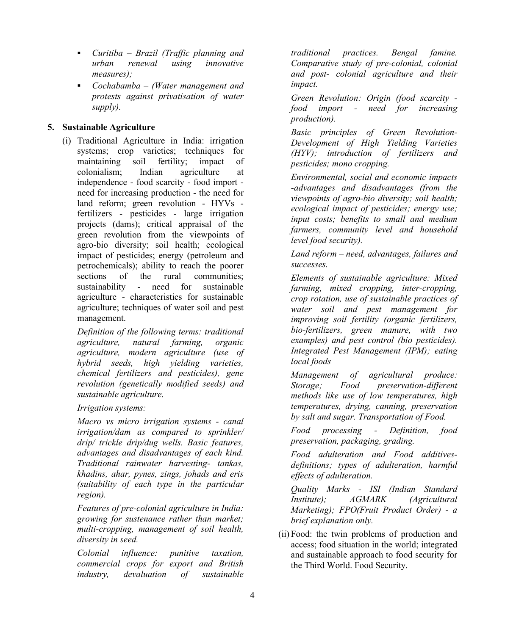- *Curitiba – Brazil (Traffic planning and urban renewal using innovative measures);*
- *Cochabamba – (Water management and protests against privatisation of water supply).*

## **5. Sustainable Agriculture**

(i) Traditional Agriculture in India: irrigation systems; crop varieties; techniques for maintaining soil fertility; impact of colonialism; Indian agriculture at independence - food scarcity - food import need for increasing production - the need for land reform; green revolution - HYVs fertilizers - pesticides - large irrigation projects (dams); critical appraisal of the green revolution from the viewpoints of agro-bio diversity; soil health; ecological impact of pesticides; energy (petroleum and petrochemicals); ability to reach the poorer sections of the rural communities; sustainability - need for sustainable agriculture - characteristics for sustainable agriculture; techniques of water soil and pest management.

*Definition of the following terms: traditional agriculture, natural farming, organic agriculture, modern agriculture (use of hybrid seeds, high yielding varieties, chemical fertilizers and pesticides), gene revolution (genetically modified seeds) and sustainable agriculture.* 

*Irrigation systems:* 

*Macro vs micro irrigation systems - canal irrigation/dam as compared to sprinkler/ drip/ trickle drip/dug wells. Basic features, advantages and disadvantages of each kind. Traditional rainwater harvesting- tankas, khadins, ahar, pynes, zings, johads and eris (suitability of each type in the particular region).*

*Features of pre-colonial agriculture in India: growing for sustenance rather than market; multi-cropping, management of soil health, diversity in seed.*

*Colonial influence: punitive taxation, commercial crops for export and British industry, devaluation of sustainable*  *traditional practices. Bengal famine. Comparative study of pre-colonial, colonial and post- colonial agriculture and their impact.* 

*Green Revolution: Origin (food scarcity food import - need for increasing production).*

*Basic principles of Green Revolution-Development of High Yielding Varieties (HYV); introduction of fertilizers and pesticides; mono cropping.*

*Environmental, social and economic impacts -advantages and disadvantages (from the viewpoints of agro-bio diversity; soil health; ecological impact of pesticides; energy use; input costs; benefits to small and medium farmers, community level and household level food security).*

*Land reform – need, advantages, failures and successes.*

*Elements of sustainable agriculture: Mixed farming, mixed cropping, inter-cropping, crop rotation, use of sustainable practices of water soil and pest management for improving soil fertility (organic fertilizers, bio-fertilizers, green manure, with two examples) and pest control (bio pesticides). Integrated Pest Management (IPM); eating local foods*

*Management of agricultural produce: Storage; Food preservation-different methods like use of low temperatures, high temperatures, drying, canning, preservation by salt and sugar. Transportation of Food.*

*Food processing - Definition, food preservation, packaging, grading.*

*Food adulteration and Food additivesdefinitions; types of adulteration, harmful effects of adulteration.*

*Quality Marks - ISI (Indian Standard Institute); AGMARK (Agricultural Marketing); FPO(Fruit Product Order) - a brief explanation only.*

(ii) Food: the twin problems of production and access; food situation in the world; integrated and sustainable approach to food security for the Third World. Food Security.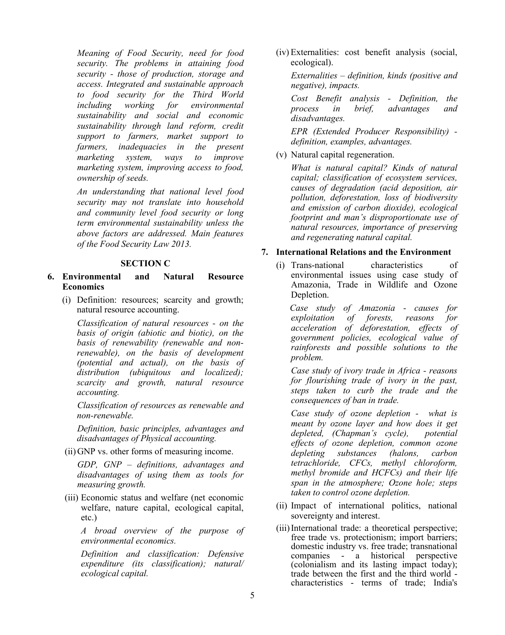*Meaning of Food Security, need for food security. The problems in attaining food security - those of production, storage and access. Integrated and sustainable approach to food security for the Third World including working for environmental sustainability and social and economic sustainability through land reform, credit support to farmers, market support to farmers, inadequacies in the present marketing system, ways to improve marketing system, improving access to food, ownership of seeds.* 

*An understanding that national level food security may not translate into household and community level food security or long term environmental sustainability unless the above factors are addressed. Main features of the Food Security Law 2013.*

#### **SECTION C**

- **6. Environmental and Natural Resource Economics**
	- (i) Definition: resources; scarcity and growth; natural resource accounting.

*Classification of natural resources - on the basis of origin (abiotic and biotic), on the basis of renewability (renewable and nonrenewable), on the basis of development (potential and actual), on the basis of distribution (ubiquitous and localized); scarcity and growth, natural resource accounting.*

*Classification of resources as renewable and non-renewable.*

*Definition, basic principles, advantages and disadvantages of Physical accounting.*

(ii) GNP vs. other forms of measuring income.

*GDP, GNP – definitions, advantages and disadvantages of using them as tools for measuring growth.* 

(iii) Economic status and welfare (net economic welfare, nature capital, ecological capital, etc.)

*A broad overview of the purpose of environmental economics.*

*Definition and classification: Defensive expenditure (its classification); natural/ ecological capital.*

(iv) Externalities: cost benefit analysis (social, ecological).

*Externalities – definition, kinds (positive and negative), impacts.*

*Cost Benefit analysis - Definition, the process in brief, advantages and disadvantages.*

*EPR (Extended Producer Responsibility) definition, examples, advantages.*

(v) Natural capital regeneration.

*What is natural capital? Kinds of natural capital; classification of ecosystem services, causes of degradation (acid deposition, air pollution, deforestation, loss of biodiversity and emission of carbon dioxide), ecological footprint and man's disproportionate use of natural resources, importance of preserving and regenerating natural capital.*

#### **7. International Relations and the Environment**

(i) Trans-national characteristics of environmental issues using case study of Amazonia, Trade in Wildlife and Ozone Depletion.

 *Case study of Amazonia - causes for exploiting forests, acceleration of deforestation, effects of government policies, ecological value of rainforests and possible solutions to the problem.*

*Case study of ivory trade in Africa - reasons for flourishing trade of ivory in the past, steps taken to curb the trade and the consequences of ban in trade.*

*Case study of ozone depletion - what is meant by ozone layer and how does it get depleted, (Chapman's cycle), potential effects of ozone depletion, common ozone depleting substances (halons, carbon tetrachloride, CFCs, methyl chloroform, methyl bromide and HCFCs) and their life span in the atmosphere; Ozone hole; steps taken to control ozone depletion.*

- (ii) Impact of international politics, national sovereignty and interest.
- (iii)International trade: a theoretical perspective; free trade vs. protectionism; import barriers; domestic industry vs. free trade; transnational companies - a historical perspective (colonialism and its lasting impact today); characteristics - terms of trade; India's